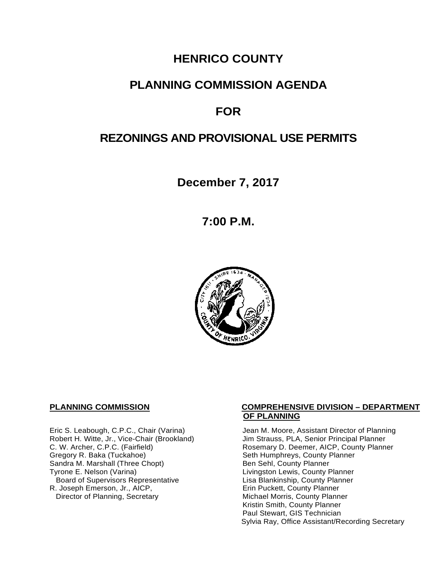# **HENRICO COUNTY**

## **PLANNING COMMISSION AGENDA**

# **FOR**

# **REZONINGS AND PROVISIONAL USE PERMITS**

**December 7, 2017**

**7:00 P.M.**



Robert H. Witte, Jr., Vice-Chair (Brookland)<br>C. W. Archer, C.P.C. (Fairfield) Gregory R. Baka (Tuckahoe) <br>
Sandra M. Marshall (Three Chopt) Sandra M. County Planner Sandra M. Marshall (Three Chopt)<br>Tyrone E. Nelson (Varina) Board of Supervisors Representative 
Lisa Blankinship, County Planner<br>
Lisa Blankinship, County Planner<br>
Lisa Blankinship, County Planner R. Joseph Emerson, Jr., AICP,<br>Director of Planning, Secretary

#### **PLANNING COMMISSION COMPREHENSIVE DIVISION – DEPARTMENT OF PLANNING**

Eric S. Leabough, C.P.C., Chair (Varina) Jean M. Moore, Assistant Director of Planning<br>Robert H. Witte, Jr., Vice-Chair (Brookland) Jim Strauss, PLA, Senior Principal Planner Rosemary D. Deemer, AICP, County Planner<br>Seth Humphreys, County Planner Livingston Lewis, County Planner Michael Morris, County Planner Kristin Smith, County Planner Paul Stewart, GIS Technician Sylvia Ray, Office Assistant/Recording Secretary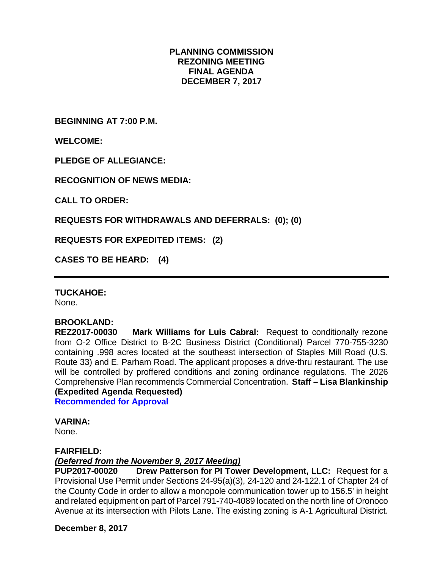### **PLANNING COMMISSION REZONING MEETING FINAL AGENDA DECEMBER 7, 2017**

**BEGINNING AT 7:00 P.M.**

**WELCOME:**

**PLEDGE OF ALLEGIANCE:**

**RECOGNITION OF NEWS MEDIA:**

**CALL TO ORDER:**

**REQUESTS FOR WITHDRAWALS AND DEFERRALS: (0); (0)**

**REQUESTS FOR EXPEDITED ITEMS: (2)**

**CASES TO BE HEARD: (4)**

**TUCKAHOE:**

None.

# **BROOKLAND:**

**Mark Williams for Luis Cabral:** Request to conditionally rezone from O-2 Office District to B-2C Business District (Conditional) Parcel 770-755-3230 containing .998 acres located at the southeast intersection of Staples Mill Road (U.S. Route 33) and E. Parham Road. The applicant proposes a drive-thru restaurant. The use will be controlled by proffered conditions and zoning ordinance regulations. The 2026 Comprehensive Plan recommends Commercial Concentration. **Staff – Lisa Blankinship (Expedited Agenda Requested)**

**Recommended for Approval**

**VARINA:**

None.

#### **FAIRFIELD:**

### *(Deferred from the November 9, 2017 Meeting)*

**PUP2017-00020 Drew Patterson for PI Tower Development, LLC:** Request for a Provisional Use Permit under Sections 24-95(a)(3), 24-120 and 24-122.1 of Chapter 24 of the County Code in order to allow a monopole communication tower up to 156.5' in height and related equipment on part of Parcel 791-740-4089 located on the north line of Oronoco Avenue at its intersection with Pilots Lane. The existing zoning is A-1 Agricultural District.

**December 8, 2017**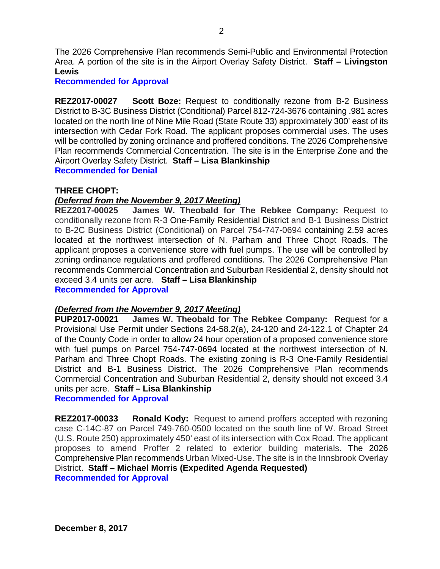The 2026 Comprehensive Plan recommends Semi-Public and Environmental Protection Area. A portion of the site is in the Airport Overlay Safety District. **Staff – Livingston Lewis**

**Recommended for Approval**

**REZ2017-00027 Scott Boze:** Request to conditionally rezone from B-2 Business District to B-3C Business District (Conditional) Parcel 812-724-3676 containing .981 acres located on the north line of Nine Mile Road (State Route 33) approximately 300' east of its intersection with Cedar Fork Road. The applicant proposes commercial uses. The uses will be controlled by zoning ordinance and proffered conditions. The 2026 Comprehensive Plan recommends Commercial Concentration. The site is in the Enterprise Zone and the Airport Overlay Safety District. **Staff – Lisa Blankinship Recommended for Denial**

#### **THREE CHOPT:**

#### *(Deferred from the November 9, 2017 Meeting)*

**REZ2017-00025 James W. Theobald for The Rebkee Company:** Request to conditionally rezone from R-3 One-Family Residential District and B-1 Business District to B-2C Business District (Conditional) on Parcel 754-747-0694 containing 2.59 acres located at the northwest intersection of N. Parham and Three Chopt Roads. The applicant proposes a convenience store with fuel pumps. The use will be controlled by zoning ordinance regulations and proffered conditions. The 2026 Comprehensive Plan recommends Commercial Concentration and Suburban Residential 2, density should not exceed 3.4 units per acre. **Staff – Lisa Blankinship Recommended for Approval**

*(Deferred from the November 9, 2017 Meeting)*

**PUP2017-00021 James W. Theobald for The Rebkee Company:** Request for a Provisional Use Permit under Sections 24-58.2(a), 24-120 and 24-122.1 of Chapter 24 of the County Code in order to allow 24 hour operation of a proposed convenience store with fuel pumps on Parcel 754-747-0694 located at the northwest intersection of N. Parham and Three Chopt Roads. The existing zoning is R-3 One-Family Residential District and B-1 Business District. The 2026 Comprehensive Plan recommends Commercial Concentration and Suburban Residential 2, density should not exceed 3.4 units per acre. **Staff – Lisa Blankinship** 

**Recommended for Approval**

**REZ2017-00033 Ronald Kody:** Request to amend proffers accepted with rezoning case C-14C-87 on Parcel 749-760-0500 located on the south line of W. Broad Street (U.S. Route 250) approximately 450' east of its intersection with Cox Road. The applicant proposes to amend Proffer 2 related to exterior building materials. The 2026 Comprehensive Plan recommends Urban Mixed-Use. The site is in the Innsbrook Overlay District. **Staff – Michael Morris (Expedited Agenda Requested) Recommended for Approval**